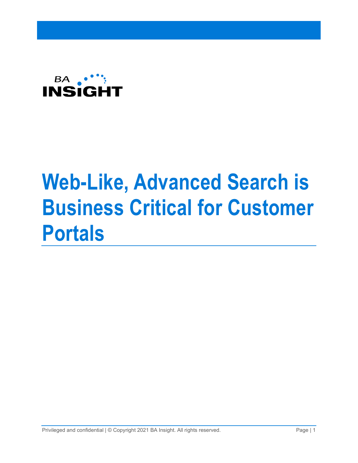

# **Web-Like, Advanced Search is Business Critical for Customer Portals**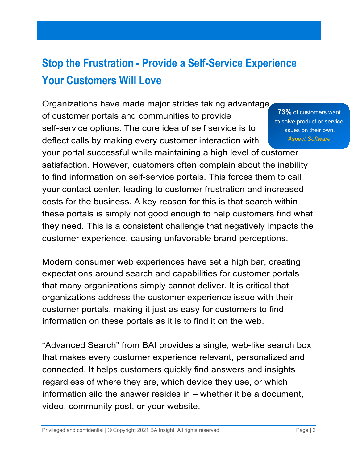## **Stop the Frustration - Provide a Self-Service Experience Your Customers Will Love**

Organizations have made major strides taking advantage of customer portals and communities to provide self-service options. The core idea of self service is to deflect calls by making every customer interaction with

**73%** of customers want to solve product or service issues on their own. *Aspect Software*

your portal successful while maintaining a high level of customer satisfaction. However, customers often complain about the inability to find information on self-service portals. This forces them to call your contact center, leading to customer frustration and increased costs for the business. A key reason for this is that search within these portals is simply not good enough to help customers find what they need. This is a consistent challenge that negatively impacts the customer experience, causing unfavorable brand perceptions.

Modern consumer web experiences have set a high bar, creating expectations around search and capabilities for customer portals that many organizations simply cannot deliver. It is critical that organizations address the customer experience issue with their customer portals, making it just as easy for customers to find information on these portals as it is to find it on the web.

"Advanced Search" from BAI provides a single, web-like search box that makes every customer experience relevant, personalized and connected. It helps customers quickly find answers and insights regardless of where they are, which device they use, or which information silo the answer resides in – whether it be a document, video, community post, or your website.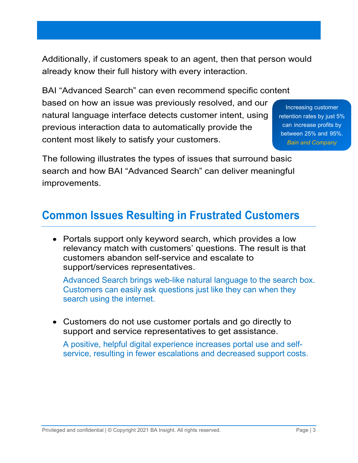Additionally, if customers speak to an agent, then that person would already know their full history with every interaction.

BAI "Advanced Search" can even recommend specific content based on how an issue was previously resolved, and our natural language interface detects customer intent, using previous interaction data to automatically provide the content most likely to satisfy your customers.

Increasing customer retention rates by just 5% can increase profits by between 25% and 95%. *[Bain and Company](http://www2.bain.com/Images/BB_Prescription_cutting_costs.pdf)*

The following illustrates the types of issues that surround basic search and how BAI "Advanced Search" can deliver meaningful improvements.

#### **Common Issues Resulting in Frustrated Customers**

• Portals support only keyword search, which provides a low relevancy match with customers' questions. The result is that customers abandon self-service and escalate to support/services representatives.

Advanced Search brings web-like natural language to the search box. Customers can easily ask questions just like they can when they search using the internet.

• Customers do not use customer portals and go directly to support and service representatives to get assistance.

A positive, helpful digital experience increases portal use and selfservice, resulting in fewer escalations and decreased support costs.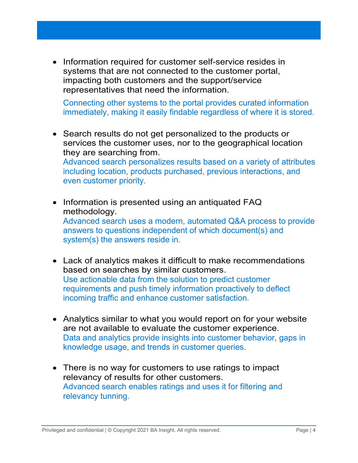• Information required for customer self-service resides in systems that are not connected to the customer portal, impacting both customers and the support/service representatives that need the information.

Connecting other systems to the portal provides curated information immediately, making it easily findable regardless of where it is stored.

- Search results do not get personalized to the products or services the customer uses, nor to the geographical location they are searching from. Advanced search personalizes results based on a variety of attributes including location, products purchased, previous interactions, and even customer priority.
- Information is presented using an antiquated FAQ methodology. Advanced search uses a modern, automated Q&A process to provide answers to questions independent of which document(s) and system(s) the answers reside in.
- Lack of analytics makes it difficult to make recommendations based on searches by similar customers. Use actionable data from the solution to predict customer requirements and push timely information proactively to deflect incoming traffic and enhance customer satisfaction.
- Analytics similar to what you would report on for your website are not available to evaluate the customer experience. Data and analytics provide insights into customer behavior, gaps in knowledge usage, and trends in customer queries.
- There is no way for customers to use ratings to impact relevancy of results for other customers. Advanced search enables ratings and uses it for filtering and relevancy tunning.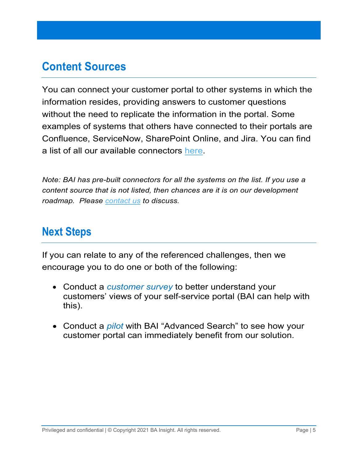### **Content Sources**

You can connect your customer portal to other systems in which the information resides, providing answers to customer questions without the need to replicate the information in the portal. Some examples of systems that others have connected to their portals are Confluence, ServiceNow, SharePoint Online, and Jira. You can find a list of all our available connectors [here.](https://www.bainsight.com/indexing-connectors/)

*Note: BAI has pre-built connectors for all the systems on the list. If you use a content source that is not listed, then chances are it is on our development roadmap. Please [contact us](https://www.bainsight.com/company-overview/contact-bainsight-enterprise-search/) to discuss.*

#### **Next Steps**

If you can relate to any of the referenced challenges, then we encourage you to do one or both of the following:

- Conduct a *customer survey* to better understand your customers' views of your self-service portal (BAI can help with this).
- Conduct a *pilot* with BAI "Advanced Search" to see how your customer portal can immediately benefit from our solution.